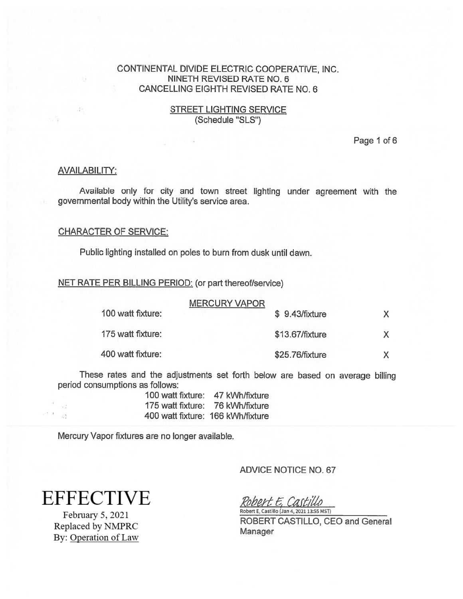## STREET LIGHTING SERVICE (Schedule "SLS")

Page 1 of 6

## **AVAILABILITY:**

Available only for city and town street lighting under agreemen<sup>t</sup> with the governmental body within the Utility's service area.

## CHARACTER OF SERVICE:

Public lighting installed on poles to burn from dusk until dawn.

NET RATE PER BILLING PERIOD: (or par<sup>t</sup> thereof/service)

| 100 watt fixture: | <b>MERCURY VAPOR</b> | \$9.43/fixture  |  |
|-------------------|----------------------|-----------------|--|
| 175 watt fixture: |                      | \$13.67/fixture |  |
| 400 watt fixture: |                      | \$25.76/fixture |  |

These rates and the adjustments set forth below are based on average billing period consumptions as follows:

| 100 watt fixture:                 | 47 kWh/fixture |
|-----------------------------------|----------------|
| 175 watt fixture:                 | 76 kWh/fixture |
| 400 watt fixture: 166 kWh/fixture |                |

Mercury Vapor fixtures are no longer available.

ADVICE NOTICE NO. 67

**EFFECTIVE** 

 $\frac{1}{2}$  $\cdots$   $\cdots$ 

> February 5, 2021 Replaced by NMPRC By: Operation of Law

Robert E, Castillo Robert E. Castillo (Jan 4,2021 13:55 MSI)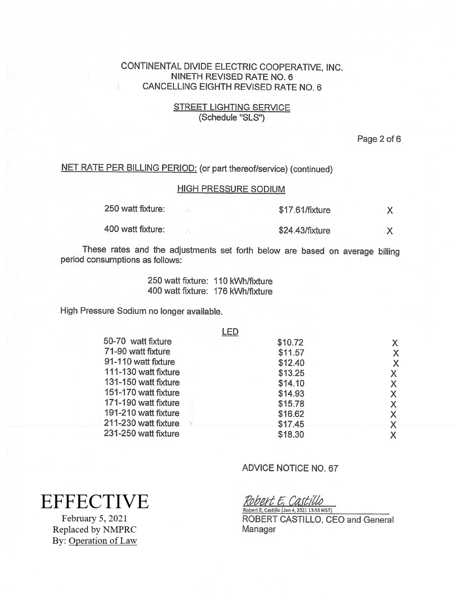## **STREET LIGHTING SERVICE** (Schedule "SLS")

Page 2 of 6

# NET RATE PER BILLING PERIOD: (or part thereof/service) (continued)

## HIGH PRESSURE SODIUM

| 250 watt fixture: | \$17.61/fixture |  |
|-------------------|-----------------|--|
| 400 watt fixture: | \$24.43/fixture |  |

These rates and the adjustments set forth below are based on average billing period consumptions as follows:

> 250 waft fixture: 110 kWhlfixture 400 watt fixture: 176 kWh/fixture

High Pressure Sodium no longer available.

|                      | .ED                         |         |    |
|----------------------|-----------------------------|---------|----|
| 50-70 watt fixture   |                             | \$10.72 | X. |
| 71-90 watt fixture   |                             | \$11.57 | X  |
| 91-110 watt fixture  |                             | \$12.40 | X  |
| 111-130 watt fixture |                             | \$13.25 |    |
| 131-150 watt fixture |                             | \$14.10 |    |
| 151-170 watt fixture |                             | \$14.93 |    |
| 171-190 watt fixture | - 2                         | \$15.78 |    |
| 191-210 watt fixture |                             | \$16.62 |    |
| 211-230 watt fixture | $\mathcal{X}^{\mathcal{P}}$ | \$17.45 |    |
| 231-250 watt fixture |                             | \$18.30 |    |
|                      |                             |         |    |

# ADVICE NOTICE NO. 67

**EFFECTIVE** 

February 5, 2021 Replaced by NMPRC By: Operation of Law

Robert E. Castillo Robert E, Castillo (Jan 4, 2021 13:55 MST)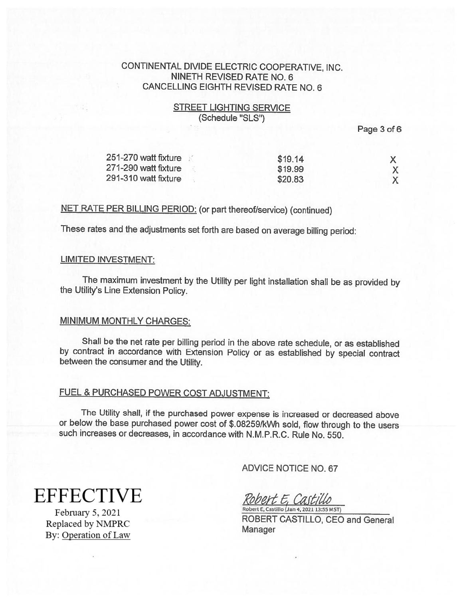# **STREET LIGHTING SERVICE** (Schedule "SLS")

Page 3 of 6

| 251-270 watt fixture | \$19.14 |  |
|----------------------|---------|--|
| 271-290 watt fixture | \$19.99 |  |
| 291-310 watt fixture | \$20.83 |  |

#### NET RATE PER BILLING PERIOD: (or part thereof/service) (continued)

These rates and the adjustments set forth are based on average billing period:

#### LIMITED INVESTMENT:

The maximum investment by the Utility per light installation shall be as provided by the Utility's Line Extension Policy.

#### **MINIMUM MONTHLY CHARGES:**

Shall be the net rate per billing period in the above rate schedule, or as established by contract in accordance with Extension Policy or as established by special contract between the consumer and the Utility.

# FUEL & PURCHASED POWER COST ADJUSTMENT:

The Utility shall, if the purchased power expense is increased or decreased above or below the base purchased power cost of \$.082591kWh sold, flow through to the users such increases or decreases, in accordance with N.M.P.R.C. Rule No. 550.

ADVICE NOTICE NO.67

**EFFECTIVE** 

February 5, 2021 Replaced by NMPRC By: Operation of Law

obert E. Castillo Robert E, Castitlo (Jan 4,2021 13:55 MSI)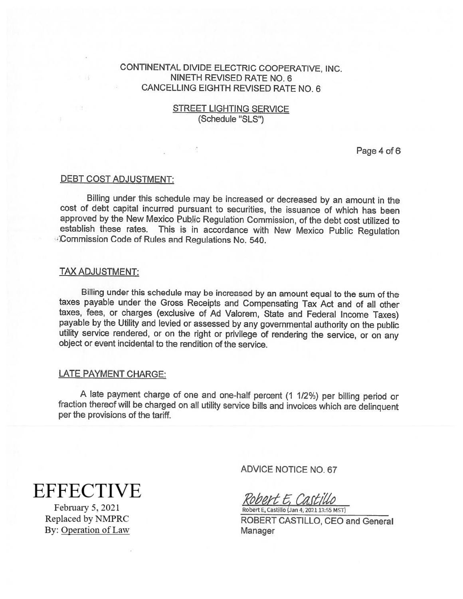## STREET LIGHTING SERVICE (Schedule "SLS")

Page 4 of 6

#### DEBT COST ADJUSTMENT:

Billing under this schedule may be increased or decreased by an amount in the cost of debt capital incurred pursuant to securities, the issuance of which has been approved by the New Mexico Pubiic Regulation Commission, of the debt cost utilized to establish these rates. This is in accordance with New Mexico Public Regulation . Commission Code of Rules and Regulations No. 540.

#### TAX ADJUSTMENT:

Billing under this schedule may be increased by an amount equa<sup>l</sup> to the sum of the taxes payable under the Gross Receipts and Compensating Tax Act and of all other taxes, fees, or charges (exclusive of Ad Valorem, State and Federal Income Taxes) payable by the Utility and levied or assessed by any governmental authority on the public utility service rendered, or on the right or privilege of rendering the service, or on any object or event incidental to the renditi

#### LATE PAYMENT CHARGE:

<sup>A</sup> late payment charge of one and one-half percent (1 1/2%) per billing period or fraction thereof will be charged on all utility service bills and invoices which are delinquent per the provisions of the tariff.

**EFFECTIVE** 

February 5, 2021 Replaced by NMPRC By: Operation of Law ADVICE NOTICE NO. 67

bert E. Castillo Robert E, Castillo (Jan 4, 2021 13:55 MST)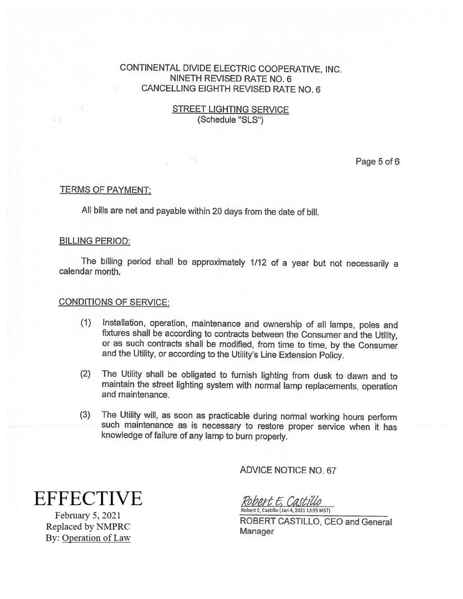## STREET LIGHTING SERVICE (Schedule "SLS")

Page 5 of 6

## TERMS OF PAYMENT:

All bills are net and payable within <sup>20</sup> days from the date of bill.

#### BILLING PERIOD:

The billing period shall be approximately 1/12 of <sup>a</sup> year but not necessarily <sup>a</sup> calendar month.

## CONDITIONS OF SERVICE:

- (1) Installation, operation, maintenance and ownership of all lamps, poles and fixtures shall be according to contracts between the Consumer and the Utility, or as such contracts shall be modified, from time to time, by the Consumer and the Utility, or according to the Utility's Line Extension Policy.
- (2) The Utility shall be obligated to furnish lighting from dusk to dawn and to maintain the street lighting system with normal lamp replacements, operation and maintenance.
- (3) The Utility will, as soon as practicable during normal working hours perform such maintenance as is necessary to restore proper service when it has knowledge of failure of any lamp to burn properly.

ADVICE NOTICE NO. 67

**EFFECTIVE** 

February 5, 2021 Replaced by NMPRC By: Operation of Law Robert E. Castillo Robert E, Castillo (Jan 4, 2Q21 13:55 MST)